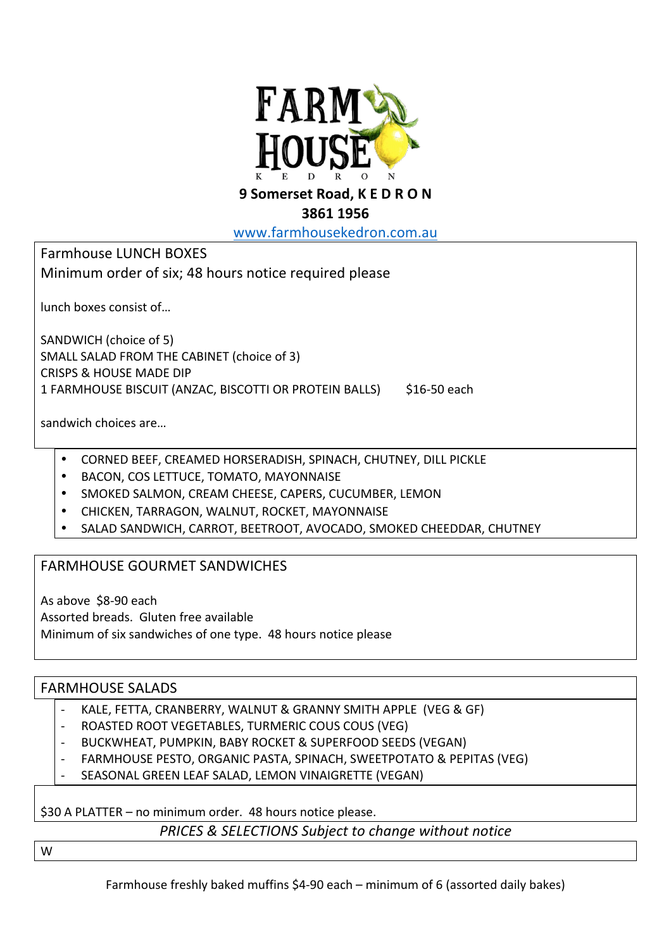

**3861 1956**

www.farmhousekedron.com.au

Farmhouse LUNCH BOXES Minimum order of six; 48 hours notice required please

lunch boxes consist of...

SANDWICH (choice of 5) SMALL SALAD FROM THE CABINET (choice of 3) CRISPS & HOUSE MADE DIP 1 FARMHOUSE BISCUIT (ANZAC, BISCOTTI OR PROTEIN BALLS) \$16-50 each

sandwich choices are...

- CORNED BEEF, CREAMED HORSERADISH, SPINACH, CHUTNEY, DILL PICKLE
- BACON, COS LETTUCE, TOMATO, MAYONNAISE
- SMOKED SALMON, CREAM CHEESE, CAPERS, CUCUMBER, LEMON
- CHICKEN, TARRAGON, WALNUT, ROCKET, MAYONNAISE
- SALAD SANDWICH, CARROT, BEETROOT, AVOCADO, SMOKED CHEEDDAR, CHUTNEY

## FARMHOUSE GOURMET SANDWICHES

As above \$8-90 each Assorted breads. Gluten free available Minimum of six sandwiches of one type. 48 hours notice please

## FARMHOUSE SALADS

- KALE, FETTA, CRANBERRY, WALNUT & GRANNY SMITH APPLE (VEG & GF)
- ROASTED ROOT VEGETABLES, TURMERIC COUS COUS (VEG)
- BUCKWHEAT, PUMPKIN, BABY ROCKET & SUPERFOOD SEEDS (VEGAN)
- FARMHOUSE PESTO, ORGANIC PASTA, SPINACH, SWEETPOTATO & PEPITAS (VEG)
- SEASONAL GREEN LEAF SALAD, LEMON VINAIGRETTE (VEGAN)

\$30 A PLATTER – no minimum order. 48 hours notice please.

**PRICES & SELECTIONS Subject to change without notice** 

W